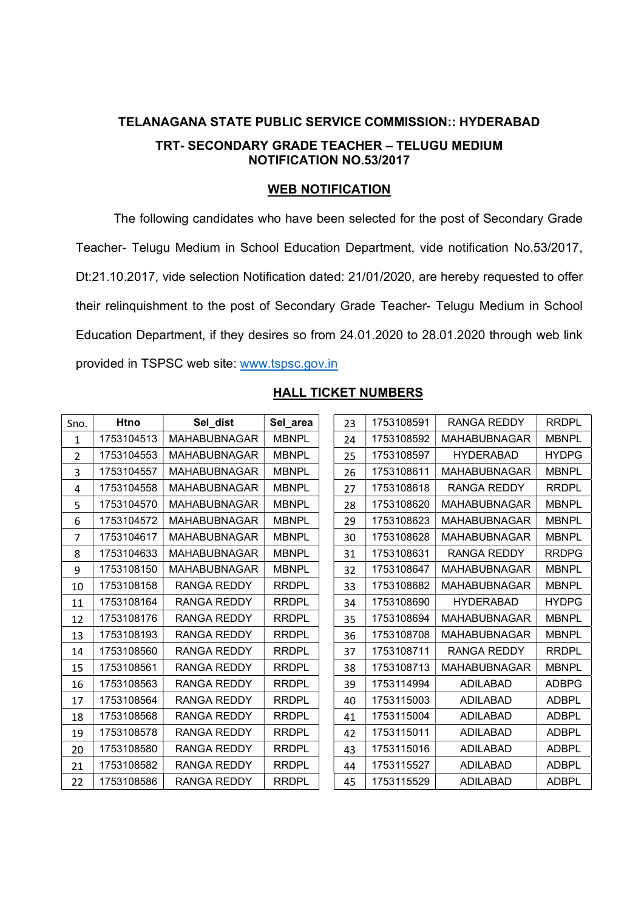## TELANAGANA STATE PUBLIC SERVICE COMMISSION:: HYDERABAD TRT- SECONDARY GRADE TEACHER – TELUGU MEDIUM NOTIFICATION NO.53/2017

## WEB NOTIFICATION

The following candidates who have been selected for the post of Secondary Grade Teacher- Telugu Medium in School Education Department, vide notification No.53/2017, Dt:21.10.2017, vide selection Notification dated: 21/01/2020, are hereby requested to offer their relinquishment to the post of Secondary Grade Teacher- Telugu Medium in School Education Department, if they desires so from 24.01.2020 to 28.01.2020 through web link provided in TSPSC web site: www.tspsc.gov.in

| <b>Htno</b><br>Sno. |            | Sel dist            | Sel_area     |  |
|---------------------|------------|---------------------|--------------|--|
| 1                   | 1753104513 | <b>MAHABUBNAGAR</b> | <b>MBNPL</b> |  |
| $\overline{2}$      | 1753104553 | <b>MAHABUBNAGAR</b> | <b>MBNPL</b> |  |
| 3                   | 1753104557 | <b>MAHABUBNAGAR</b> | <b>MBNPL</b> |  |
| 4                   | 1753104558 | <b>MAHABUBNAGAR</b> | <b>MBNPL</b> |  |
| 5                   | 1753104570 | <b>MAHABUBNAGAR</b> | <b>MBNPL</b> |  |
| 6                   | 1753104572 | <b>MAHABUBNAGAR</b> | <b>MBNPL</b> |  |
| 7                   | 1753104617 | <b>MAHABUBNAGAR</b> | <b>MBNPL</b> |  |
| 8                   | 1753104633 | <b>MAHABUBNAGAR</b> | <b>MBNPL</b> |  |
| 9                   | 1753108150 | <b>MAHABUBNAGAR</b> | <b>MBNPL</b> |  |
| 10                  | 1753108158 | RANGA REDDY         | <b>RRDPL</b> |  |
| 11                  | 1753108164 | RANGA REDDY         | <b>RRDPL</b> |  |
| 12                  | 1753108176 | <b>RANGA REDDY</b>  | <b>RRDPL</b> |  |
| 13                  | 1753108193 | <b>RANGA REDDY</b>  | <b>RRDPL</b> |  |
| 14                  | 1753108560 | RANGA REDDY         | <b>RRDPL</b> |  |
| 15                  | 1753108561 | RANGA REDDY         | <b>RRDPL</b> |  |
| 16                  | 1753108563 | RANGA REDDY         | <b>RRDPL</b> |  |
| 17                  | 1753108564 | RANGA REDDY         | <b>RRDPL</b> |  |
| 18                  | 1753108568 | RANGA REDDY         | <b>RRDPL</b> |  |
| 19                  | 1753108578 | RANGA REDDY         | <b>RRDPL</b> |  |
| 20                  | 1753108580 | RANGA REDDY         | <b>RRDPL</b> |  |
| 21                  | 1753108582 | <b>RANGA REDDY</b>  | <b>RRDPL</b> |  |
| 22                  | 1753108586 | RANGA REDDY         | <b>RRDPL</b> |  |

## HALL TICKET NUMBERS

| 23 | 1753108591 | RANGA REDDY         | <b>RRDPL</b> |
|----|------------|---------------------|--------------|
| 24 | 1753108592 | MAHABUBNAGAR        | <b>MBNPL</b> |
| 25 | 1753108597 | HYDERABAD           | HYDPG        |
| 26 | 1753108611 | MAHABUBNAGAR        | <b>MBNPL</b> |
| 27 | 1753108618 | RANGA REDDY         | <b>RRDPL</b> |
| 28 | 1753108620 | <b>MAHABUBNAGAR</b> | <b>MBNPL</b> |
| 29 | 1753108623 | MAHABUBNAGAR        | <b>MBNPL</b> |
| 30 | 1753108628 | MAHABUBNAGAR        | <b>MBNPL</b> |
| 31 | 1753108631 | RANGA REDDY         | <b>RRDPG</b> |
| 32 | 1753108647 | MAHABUBNAGAR        | <b>MBNPL</b> |
| 33 | 1753108682 | MAHABUBNAGAR        | <b>MBNPL</b> |
| 34 | 1753108690 | HYDERABAD           | <b>HYDPG</b> |
| 35 | 1753108694 | MAHABUBNAGAR        | <b>MBNPL</b> |
| 36 | 1753108708 | MAHABUBNAGAR        | <b>MBNPL</b> |
| 37 | 1753108711 | RANGA REDDY         | <b>RRDPL</b> |
| 38 | 1753108713 | <b>MAHABUBNAGAR</b> | <b>MBNPL</b> |
| 39 | 1753114994 | ADILABAD            | <b>ADBPG</b> |
| 40 | 1753115003 | ADILABAD            | <b>ADBPL</b> |
| 41 | 1753115004 | ADILABAD            | ADBPL        |
| 42 | 1753115011 | <b>ADILABAD</b>     | <b>ADBPL</b> |
| 43 | 1753115016 | ADIL ABAD           | <b>ADBPL</b> |
| 44 | 1753115527 | ADILABAD            | <b>ADBPL</b> |
| 45 | 1753115529 | ADILABAD            | <b>ADBPL</b> |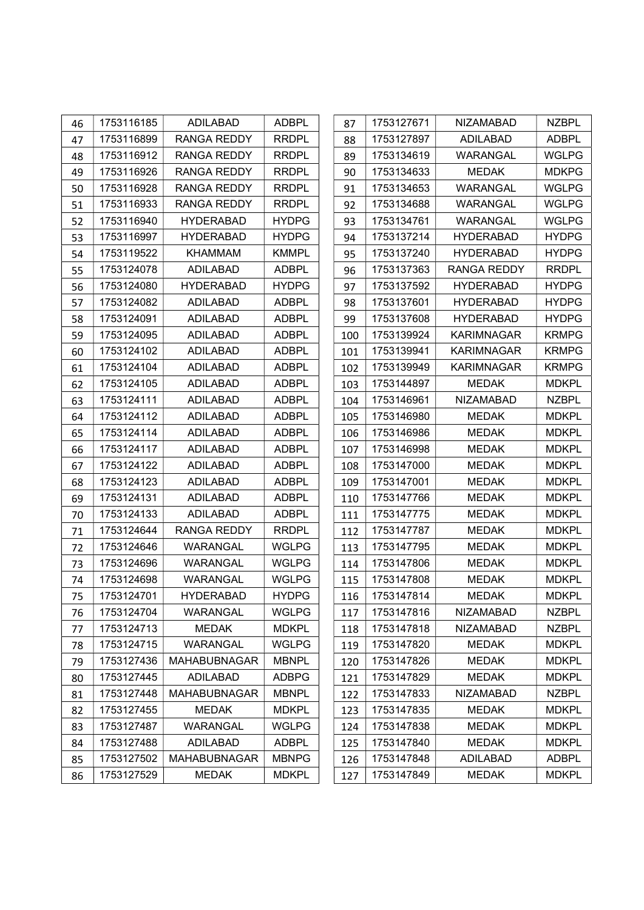| 46 | 1753116185 | ADILABAD            | <b>ADBPL</b> | 87  | 1753127671 | <b>NIZAMABAD</b>   | <b>NZBPL</b> |
|----|------------|---------------------|--------------|-----|------------|--------------------|--------------|
| 47 | 1753116899 | <b>RANGA REDDY</b>  | <b>RRDPL</b> | 88  | 1753127897 | <b>ADILABAD</b>    | <b>ADBPL</b> |
| 48 | 1753116912 | <b>RANGA REDDY</b>  | <b>RRDPL</b> | 89  | 1753134619 | WARANGAL           | <b>WGLPG</b> |
| 49 | 1753116926 | <b>RANGA REDDY</b>  | <b>RRDPL</b> | 90  | 1753134633 | <b>MEDAK</b>       | <b>MDKPG</b> |
| 50 | 1753116928 | RANGA REDDY         | <b>RRDPL</b> | 91  | 1753134653 | <b>WARANGAL</b>    | <b>WGLPG</b> |
| 51 | 1753116933 | <b>RANGA REDDY</b>  | <b>RRDPL</b> | 92  | 1753134688 | WARANGAL           | <b>WGLPG</b> |
| 52 | 1753116940 | <b>HYDERABAD</b>    | <b>HYDPG</b> | 93  | 1753134761 | <b>WARANGAL</b>    | <b>WGLPG</b> |
| 53 | 1753116997 | <b>HYDERABAD</b>    | <b>HYDPG</b> | 94  | 1753137214 | <b>HYDERABAD</b>   | <b>HYDPG</b> |
| 54 | 1753119522 | <b>KHAMMAM</b>      | <b>KMMPL</b> | 95  | 1753137240 | <b>HYDERABAD</b>   | <b>HYDPG</b> |
| 55 | 1753124078 | <b>ADILABAD</b>     | <b>ADBPL</b> | 96  | 1753137363 | <b>RANGA REDDY</b> | <b>RRDPL</b> |
| 56 | 1753124080 | <b>HYDERABAD</b>    | <b>HYDPG</b> | 97  | 1753137592 | <b>HYDERABAD</b>   | <b>HYDPG</b> |
| 57 | 1753124082 | <b>ADILABAD</b>     | <b>ADBPL</b> | 98  | 1753137601 | <b>HYDERABAD</b>   | <b>HYDPG</b> |
| 58 | 1753124091 | <b>ADILABAD</b>     | <b>ADBPL</b> | 99  | 1753137608 | <b>HYDERABAD</b>   | <b>HYDPG</b> |
| 59 | 1753124095 | ADILABAD            | <b>ADBPL</b> | 100 | 1753139924 | <b>KARIMNAGAR</b>  | <b>KRMPG</b> |
| 60 | 1753124102 | <b>ADILABAD</b>     | <b>ADBPL</b> | 101 | 1753139941 | <b>KARIMNAGAR</b>  | <b>KRMPG</b> |
| 61 | 1753124104 | <b>ADILABAD</b>     | <b>ADBPL</b> | 102 | 1753139949 | <b>KARIMNAGAR</b>  | <b>KRMPG</b> |
| 62 | 1753124105 | <b>ADILABAD</b>     | <b>ADBPL</b> | 103 | 1753144897 | <b>MEDAK</b>       | <b>MDKPL</b> |
| 63 | 1753124111 | <b>ADILABAD</b>     | <b>ADBPL</b> | 104 | 1753146961 | <b>NIZAMABAD</b>   | <b>NZBPL</b> |
| 64 | 1753124112 | <b>ADILABAD</b>     | <b>ADBPL</b> | 105 | 1753146980 | <b>MEDAK</b>       | <b>MDKPL</b> |
| 65 | 1753124114 | <b>ADILABAD</b>     | <b>ADBPL</b> | 106 | 1753146986 | <b>MEDAK</b>       | <b>MDKPL</b> |
| 66 | 1753124117 | <b>ADILABAD</b>     | <b>ADBPL</b> | 107 | 1753146998 | <b>MEDAK</b>       | <b>MDKPL</b> |
| 67 | 1753124122 | <b>ADILABAD</b>     | <b>ADBPL</b> | 108 | 1753147000 | <b>MEDAK</b>       | <b>MDKPL</b> |
| 68 | 1753124123 | <b>ADILABAD</b>     | <b>ADBPL</b> | 109 | 1753147001 | <b>MEDAK</b>       | <b>MDKPL</b> |
| 69 | 1753124131 | <b>ADILABAD</b>     | <b>ADBPL</b> | 110 | 1753147766 | <b>MEDAK</b>       | <b>MDKPL</b> |
| 70 | 1753124133 | <b>ADILABAD</b>     | <b>ADBPL</b> | 111 | 1753147775 | <b>MEDAK</b>       | <b>MDKPL</b> |
| 71 | 1753124644 | <b>RANGA REDDY</b>  | <b>RRDPL</b> | 112 | 1753147787 | <b>MEDAK</b>       | <b>MDKPL</b> |
| 72 | 1753124646 | WARANGAL            | <b>WGLPG</b> | 113 | 1753147795 | <b>MEDAK</b>       | <b>MDKPL</b> |
| 73 | 1753124696 | <b>WARANGAL</b>     | <b>WGLPG</b> | 114 | 1753147806 | <b>MEDAK</b>       | <b>MDKPL</b> |
| 74 | 1753124698 | <b>WARANGAL</b>     | <b>WGLPG</b> | 115 | 1753147808 | <b>MEDAK</b>       | <b>MDKPL</b> |
| 75 | 1753124701 | <b>HYDERABAD</b>    | <b>HYDPG</b> | 116 | 1753147814 | <b>MEDAK</b>       | <b>MDKPL</b> |
| 76 | 1753124704 | WARANGAL            | <b>WGLPG</b> | 117 | 1753147816 | <b>NIZAMABAD</b>   | <b>NZBPL</b> |
| 77 | 1753124713 | <b>MEDAK</b>        | <b>MDKPL</b> | 118 | 1753147818 | <b>NIZAMABAD</b>   | <b>NZBPL</b> |
| 78 | 1753124715 | WARANGAL            | <b>WGLPG</b> | 119 | 1753147820 | MEDAK              | <b>MDKPL</b> |
| 79 | 1753127436 | <b>MAHABUBNAGAR</b> | <b>MBNPL</b> | 120 | 1753147826 | <b>MEDAK</b>       | <b>MDKPL</b> |
| 80 | 1753127445 | <b>ADILABAD</b>     | <b>ADBPG</b> | 121 | 1753147829 | <b>MEDAK</b>       | <b>MDKPL</b> |
| 81 | 1753127448 | <b>MAHABUBNAGAR</b> | <b>MBNPL</b> | 122 | 1753147833 | <b>NIZAMABAD</b>   | <b>NZBPL</b> |
| 82 | 1753127455 | <b>MEDAK</b>        | <b>MDKPL</b> | 123 | 1753147835 | <b>MEDAK</b>       | <b>MDKPL</b> |
| 83 | 1753127487 | <b>WARANGAL</b>     | <b>WGLPG</b> | 124 | 1753147838 | <b>MEDAK</b>       | <b>MDKPL</b> |
| 84 | 1753127488 | <b>ADILABAD</b>     | <b>ADBPL</b> | 125 | 1753147840 | <b>MEDAK</b>       | <b>MDKPL</b> |
| 85 | 1753127502 | <b>MAHABUBNAGAR</b> | <b>MBNPG</b> | 126 | 1753147848 | <b>ADILABAD</b>    | <b>ADBPL</b> |
| 86 | 1753127529 | <b>MEDAK</b>        | <b>MDKPL</b> | 127 | 1753147849 | <b>MEDAK</b>       | <b>MDKPL</b> |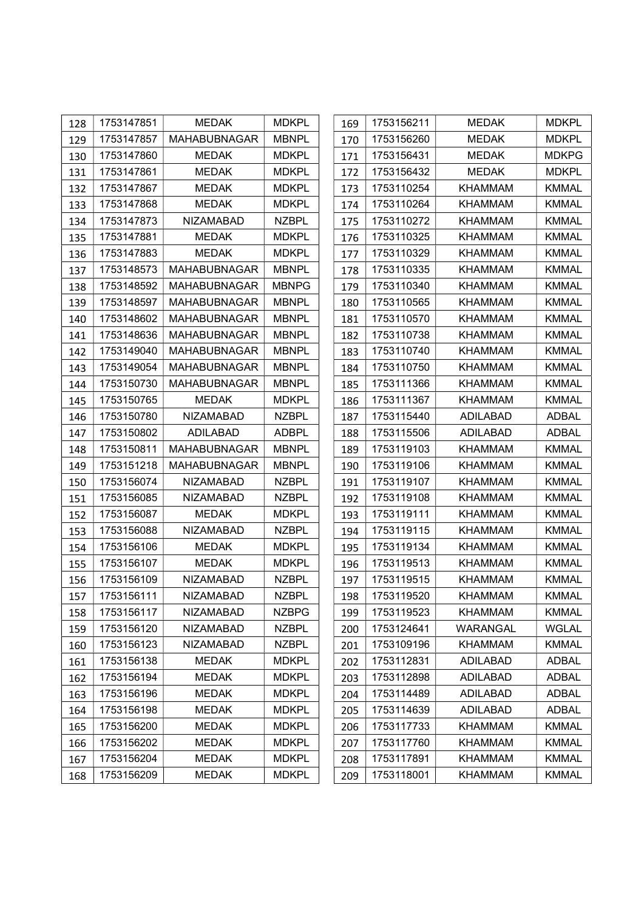| 128 | 1753147851 | <b>MEDAK</b>        | <b>MDKPL</b> | 169 | 1753156211 | <b>MEDAK</b>    | <b>MDKPL</b> |
|-----|------------|---------------------|--------------|-----|------------|-----------------|--------------|
| 129 | 1753147857 | <b>MAHABUBNAGAR</b> | <b>MBNPL</b> | 170 | 1753156260 | <b>MEDAK</b>    | <b>MDKPL</b> |
| 130 | 1753147860 | <b>MEDAK</b>        | <b>MDKPL</b> | 171 | 1753156431 | <b>MEDAK</b>    | <b>MDKPG</b> |
| 131 | 1753147861 | <b>MEDAK</b>        | <b>MDKPL</b> | 172 | 1753156432 | <b>MEDAK</b>    | <b>MDKPL</b> |
| 132 | 1753147867 | <b>MEDAK</b>        | <b>MDKPL</b> | 173 | 1753110254 | <b>KHAMMAM</b>  | <b>KMMAL</b> |
| 133 | 1753147868 | <b>MEDAK</b>        | <b>MDKPL</b> | 174 | 1753110264 | KHAMMAM         | <b>KMMAL</b> |
| 134 | 1753147873 | <b>NIZAMABAD</b>    | <b>NZBPL</b> | 175 | 1753110272 | <b>KHAMMAM</b>  | <b>KMMAL</b> |
| 135 | 1753147881 | <b>MEDAK</b>        | <b>MDKPL</b> | 176 | 1753110325 | <b>KHAMMAM</b>  | <b>KMMAL</b> |
| 136 | 1753147883 | <b>MEDAK</b>        | <b>MDKPL</b> | 177 | 1753110329 | <b>KHAMMAM</b>  | <b>KMMAL</b> |
| 137 | 1753148573 | <b>MAHABUBNAGAR</b> | <b>MBNPL</b> | 178 | 1753110335 | <b>KHAMMAM</b>  | <b>KMMAL</b> |
| 138 | 1753148592 | <b>MAHABUBNAGAR</b> | <b>MBNPG</b> | 179 | 1753110340 | <b>KHAMMAM</b>  | <b>KMMAL</b> |
| 139 | 1753148597 | <b>MAHABUBNAGAR</b> | <b>MBNPL</b> | 180 | 1753110565 | <b>KHAMMAM</b>  | <b>KMMAL</b> |
| 140 | 1753148602 | <b>MAHABUBNAGAR</b> | <b>MBNPL</b> | 181 | 1753110570 | <b>KHAMMAM</b>  | <b>KMMAL</b> |
| 141 | 1753148636 | <b>MAHABUBNAGAR</b> | <b>MBNPL</b> | 182 | 1753110738 | <b>KHAMMAM</b>  | <b>KMMAL</b> |
| 142 | 1753149040 | <b>MAHABUBNAGAR</b> | <b>MBNPL</b> | 183 | 1753110740 | KHAMMAM         | <b>KMMAL</b> |
| 143 | 1753149054 | <b>MAHABUBNAGAR</b> | <b>MBNPL</b> | 184 | 1753110750 | KHAMMAM         | KMMAL        |
| 144 | 1753150730 | <b>MAHABUBNAGAR</b> | <b>MBNPL</b> | 185 | 1753111366 | <b>KHAMMAM</b>  | <b>KMMAL</b> |
| 145 | 1753150765 | <b>MEDAK</b>        | <b>MDKPL</b> | 186 | 1753111367 | KHAMMAM         | <b>KMMAL</b> |
| 146 | 1753150780 | <b>NIZAMABAD</b>    | <b>NZBPL</b> | 187 | 1753115440 | <b>ADILABAD</b> | <b>ADBAL</b> |
| 147 | 1753150802 | <b>ADILABAD</b>     | <b>ADBPL</b> | 188 | 1753115506 | <b>ADILABAD</b> | <b>ADBAL</b> |
| 148 | 1753150811 | <b>MAHABUBNAGAR</b> | <b>MBNPL</b> | 189 | 1753119103 | <b>KHAMMAM</b>  | <b>KMMAL</b> |
| 149 | 1753151218 | <b>MAHABUBNAGAR</b> | <b>MBNPL</b> | 190 | 1753119106 | KHAMMAM         | <b>KMMAL</b> |
| 150 | 1753156074 | <b>NIZAMABAD</b>    | <b>NZBPL</b> | 191 | 1753119107 | <b>KHAMMAM</b>  | <b>KMMAL</b> |
| 151 | 1753156085 | <b>NIZAMABAD</b>    | <b>NZBPL</b> | 192 | 1753119108 | <b>KHAMMAM</b>  | <b>KMMAL</b> |
| 152 | 1753156087 | <b>MEDAK</b>        | <b>MDKPL</b> | 193 | 1753119111 | <b>KHAMMAM</b>  | <b>KMMAL</b> |
| 153 | 1753156088 | <b>NIZAMABAD</b>    | <b>NZBPL</b> | 194 | 1753119115 | <b>KHAMMAM</b>  | <b>KMMAL</b> |
| 154 | 1753156106 | <b>MEDAK</b>        | <b>MDKPL</b> | 195 | 1753119134 | <b>KHAMMAM</b>  | <b>KMMAL</b> |
| 155 | 1753156107 | <b>MEDAK</b>        | <b>MDKPL</b> | 196 | 1753119513 | <b>KHAMMAM</b>  | <b>KMMAL</b> |
| 156 | 1753156109 | <b>NIZAMABAD</b>    | <b>NZBPL</b> | 197 | 1753119515 | <b>KHAMMAM</b>  | <b>KMMAL</b> |
| 157 | 1753156111 | <b>NIZAMABAD</b>    | <b>NZBPL</b> | 198 | 1753119520 | <b>KHAMMAM</b>  | <b>KMMAL</b> |
| 158 | 1753156117 | <b>NIZAMABAD</b>    | <b>NZBPG</b> | 199 | 1753119523 | <b>KHAMMAM</b>  | <b>KMMAL</b> |
| 159 | 1753156120 | <b>NIZAMABAD</b>    | <b>NZBPL</b> | 200 | 1753124641 | <b>WARANGAL</b> | <b>WGLAL</b> |
| 160 | 1753156123 | <b>NIZAMABAD</b>    | <b>NZBPL</b> | 201 | 1753109196 | <b>KHAMMAM</b>  | <b>KMMAL</b> |
| 161 | 1753156138 | <b>MEDAK</b>        | <b>MDKPL</b> | 202 | 1753112831 | <b>ADILABAD</b> | <b>ADBAL</b> |
| 162 | 1753156194 | <b>MEDAK</b>        | <b>MDKPL</b> | 203 | 1753112898 | <b>ADILABAD</b> | <b>ADBAL</b> |
| 163 | 1753156196 | <b>MEDAK</b>        | <b>MDKPL</b> | 204 | 1753114489 | <b>ADILABAD</b> | <b>ADBAL</b> |
| 164 | 1753156198 | <b>MEDAK</b>        | <b>MDKPL</b> | 205 | 1753114639 | <b>ADILABAD</b> | <b>ADBAL</b> |
| 165 | 1753156200 | <b>MEDAK</b>        | <b>MDKPL</b> | 206 | 1753117733 | <b>KHAMMAM</b>  | <b>KMMAL</b> |
| 166 | 1753156202 | <b>MEDAK</b>        | <b>MDKPL</b> | 207 | 1753117760 | KHAMMAM         | <b>KMMAL</b> |
| 167 | 1753156204 | <b>MEDAK</b>        | <b>MDKPL</b> | 208 | 1753117891 | <b>KHAMMAM</b>  | <b>KMMAL</b> |
| 168 | 1753156209 | <b>MEDAK</b>        | <b>MDKPL</b> | 209 | 1753118001 | <b>KHAMMAM</b>  | <b>KMMAL</b> |